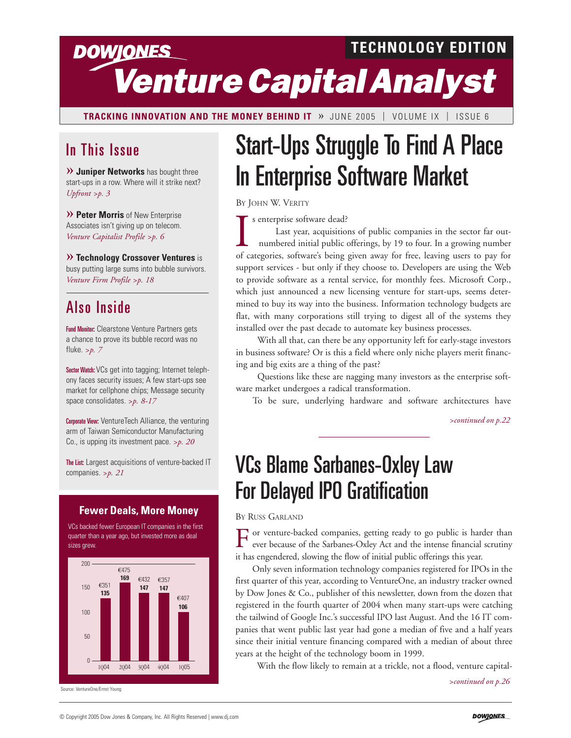## **TECHNOLOGY EDITION DOWJONES** *Venture Capital Analyst*

**TRACKING INNOVATION AND THE MONEY BEHIND IT** » JUNE 2005 | VOLUME IX | ISSUE 6

### In This Issue

**» Juniper Networks** has bought three start-ups in a row. Where will it strike next? *Upfront >p. 3*

**» Peter Morris** of New Enterprise Associates isn't giving up on telecom. *Venture Capitalist Profile >p. 6*

**» Technology Crossover Ventures** is busy putting large sums into bubble survivors. *Venture Firm Profile >p. 18* 

### Also Inside

Fund Monitor: Clearstone Venture Partners gets a chance to prove its bubble record was no fluke. *>p. 7*

Sector Watch: VCs get into tagging; Internet telephony faces security issues; A few start-ups see market for cellphone chips; Message security space consolidates. *>p. 8-17*

Corporate View: VentureTech Alliance, the venturing arm of Taiwan Semiconductor Manufacturing Co., is upping its investment pace. *>p. 20*

The List: Largest acquisitions of venture-backed IT companies. *>p. 21*

#### **Fewer Deals, More Money**

VCs backed fewer European IT companies in the first quarter than a year ago, but invested more as deal sizes grew



Source: VentureOne/Ernst Young

# Start-Ups Struggle To Find A Place In Enterprise Software Market

BY JOHN W. VERITY

s enterprise software dead?

Is enterprise software dead?<br>
Last year, acquisitions of public companies in the sector far out-<br>
numbered initial public offerings, by 19 to four. In a growing number<br>
of categories, software's being given away for free, support services - but only if they choose to. Developers are using the Web to provide software as a rental service, for monthly fees. Microsoft Corp., which just announced a new licensing venture for start-ups, seems determined to buy its way into the business. Information technology budgets are flat, with many corporations still trying to digest all of the systems they installed over the past decade to automate key business processes. Last year, acquisitions of public companies in the sector far outnumbered initial public offerings, by 19 to four. In a growing number

With all that, can there be any opportunity left for early-stage investors in business software? Or is this a field where only niche players merit financing and big exits are a thing of the past?

Questions like these are nagging many investors as the enterprise software market undergoes a radical transformation.

To be sure, underlying hardware and software architectures have

*>continued on p.22*

## VCs Blame Sarbanes-Oxley Law For Delayed IPO Gratification

BY RUSS GARLAND

or venture-backed companies, getting ready to go public is harder than ever because of the Sarbanes-Oxley Act and the intense financial scrutiny it has engendered, slowing the flow of initial public offerings this year.

Only seven information technology companies registered for IPOs in the first quarter of this year, according to VentureOne, an industry tracker owned by Dow Jones & Co., publisher of this newsletter, down from the dozen that registered in the fourth quarter of 2004 when many start-ups were catching the tailwind of Google Inc.'s successful IPO last August. And the 16 IT companies that went public last year had gone a median of five and a half years since their initial venture financing compared with a median of about three years at the height of the technology boom in 1999.

With the flow likely to remain at a trickle, not a flood, venture capital-

*>continued on p.26*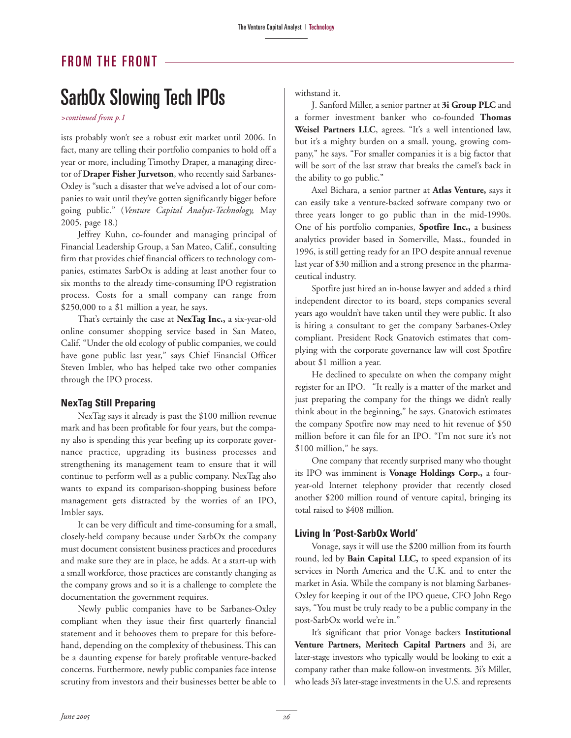#### FROM THE FRONT

## SarbOx Slowing Tech IPOs

*>continued from p.1*

ists probably won't see a robust exit market until 2006. In fact, many are telling their portfolio companies to hold off a year or more, including Timothy Draper, a managing director of **Draper Fisher Jurvetson**, who recently said Sarbanes-Oxley is "such a disaster that we've advised a lot of our companies to wait until they've gotten significantly bigger before going public." (*Venture Capital Analyst-Technology,* May 2005, page 18.)

Jeffrey Kuhn, co-founder and managing principal of Financial Leadership Group, a San Mateo, Calif., consulting firm that provides chief financial officers to technology companies, estimates SarbOx is adding at least another four to six months to the already time-consuming IPO registration process. Costs for a small company can range from \$250,000 to a \$1 million a year, he says.

That's certainly the case at **NexTag Inc.,** a six-year-old online consumer shopping service based in San Mateo, Calif. "Under the old ecology of public companies, we could have gone public last year," says Chief Financial Officer Steven Imbler, who has helped take two other companies through the IPO process.

#### **NexTag Still Preparing**

NexTag says it already is past the \$100 million revenue mark and has been profitable for four years, but the company also is spending this year beefing up its corporate governance practice, upgrading its business processes and strengthening its management team to ensure that it will continue to perform well as a public company. NexTag also wants to expand its comparison-shopping business before management gets distracted by the worries of an IPO, Imbler says.

It can be very difficult and time-consuming for a small, closely-held company because under SarbOx the company must document consistent business practices and procedures and make sure they are in place, he adds. At a start-up with a small workforce, those practices are constantly changing as the company grows and so it is a challenge to complete the documentation the government requires.

Newly public companies have to be Sarbanes-Oxley compliant when they issue their first quarterly financial statement and it behooves them to prepare for this beforehand, depending on the complexity of thebusiness. This can be a daunting expense for barely profitable venture-backed concerns. Furthermore, newly public companies face intense scrutiny from investors and their businesses better be able to withstand it.

J. Sanford Miller, a senior partner at **3i Group PLC** and a former investment banker who co-founded **Thomas Weisel Partners LLC**, agrees. "It's a well intentioned law, but it's a mighty burden on a small, young, growing company," he says. "For smaller companies it is a big factor that will be sort of the last straw that breaks the camel's back in the ability to go public."

Axel Bichara, a senior partner at **Atlas Venture,** says it can easily take a venture-backed software company two or three years longer to go public than in the mid-1990s. One of his portfolio companies, **Spotfire Inc.,** a business analytics provider based in Somerville, Mass., founded in 1996, is still getting ready for an IPO despite annual revenue last year of \$30 million and a strong presence in the pharmaceutical industry.

Spotfire just hired an in-house lawyer and added a third independent director to its board, steps companies several years ago wouldn't have taken until they were public. It also is hiring a consultant to get the company Sarbanes-Oxley compliant. President Rock Gnatovich estimates that complying with the corporate governance law will cost Spotfire about \$1 million a year.

He declined to speculate on when the company might register for an IPO. "It really is a matter of the market and just preparing the company for the things we didn't really think about in the beginning," he says. Gnatovich estimates the company Spotfire now may need to hit revenue of \$50 million before it can file for an IPO. "I'm not sure it's not \$100 million," he says.

One company that recently surprised many who thought its IPO was imminent is **Vonage Holdings Corp.,** a fouryear-old Internet telephony provider that recently closed another \$200 million round of venture capital, bringing its total raised to \$408 million.

#### **Living In 'Post-SarbOx World'**

Vonage, says it will use the \$200 million from its fourth round, led by **Bain Capital LLC,** to speed expansion of its services in North America and the U.K. and to enter the market in Asia. While the company is not blaming Sarbanes-Oxley for keeping it out of the IPO queue, CFO John Rego says, "You must be truly ready to be a public company in the post-SarbOx world we're in."

It's significant that prior Vonage backers **Institutional Venture Partners, Meritech Capital Partners** and 3i, are later-stage investors who typically would be looking to exit a company rather than make follow-on investments. 3i's Miller, who leads 3i's later-stage investments in the U.S. and represents